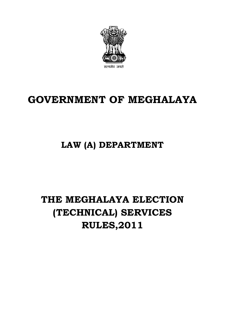

# **GOVERNMENT OF MEGHALAYA**

## **LAW (A) DEPARTMENT**

# **THE MEGHALAYA ELECTION (TECHNICAL) SERVICES RULES,2011**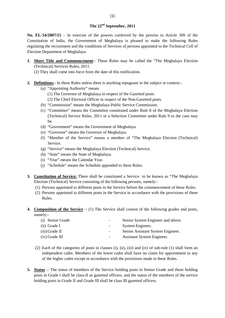#### **The 22nd September, 2011**

**No. EL-54/2007/15** – In exercise of the powers conferred by the proviso to Article 309 of the Constitution of India, the Government of Meghalaya is pleased to make the following Rules regulating the recruitment and the conditions of Services of persons appointed to the Technical Cell of Election Department of Meghalaya.

- **1. Short Title and Commencement**:- These Rules may be called the "The Meghalaya Election (Technical) Services Rules, 2011.
	- (2) They shall come into force from the date of this notification.
- **2. Definitions**:- In these Rules unless there is anything repugnant in the subject or context:-
	- (a) "Appointing Authority" means
		- (1) The Governor of Meghalaya in respect of the Gazetted posts.
		- (2) The Chief Electoral Officer in respect of the Non-Gazetted posts.
	- (b) "Commission" means the Meghalaya Public Service Commission.
	- (c) "Committee" means the Committee constituted under Rule 8 of the Meghalaya Election (Technical) Service Rules, 2011 or a Selection Committee under Rule 9 as the case may be.
	- (d) "Government" means the Government of Meghalaya.
	- (e) "Governor" means the Governor of Meghalaya.
	- (f) "Member of the Service" means a member of "The Meghalaya Election (Technical) Service.
	- (g) "Service" means the Meghalaya Election (Technical) Service.
	- (h) "State" means the State of Meghalaya.
	- (i) "Year" means the Calendar Year.
	- (j) "Schedule" means the Schedule appended to these Rules.
- **3. Constitution of Service:** There shall be constituted a Service to be known as "The Meghalaya Election (Technical) Service consisting of the following persons, namely:-
	- (1) Persons appointed to different posts in the Service before the commencement of these Rules.
	- (2) Persons appointed to different posts in the Service in accordance with the provisions of these Rules.
- **4. Composition of the Service** :- (1) The Service shall consist of the following grades and posts, namely:-

| (i) Senior Grade | $\overline{\phantom{a}}$ | Senior System Engineer and above. |
|------------------|--------------------------|-----------------------------------|
| $(ii)$ Grade I   | $\overline{\phantom{a}}$ | System Engineer.                  |
| $(iii)$ Grade II | $\overline{\phantom{a}}$ | Senior Assistant System Engineer. |
| $(iv)$ Grade III | $\overline{\phantom{a}}$ | Assistant System Engineer.        |
|                  |                          |                                   |

- (2) Each of the categories of posts in clauses (i), (ii), (iii) and (iv) of sub-rule (1) shall form an independent cadre. Members of the lower cadre shall have no claim for appointment to any of the higher cadre except in accordance with the provisions made in these Rules.
- **5. Status** :- The status of members of the Service holding posts in Senior Grade and those holding posts in Grade I shall be class-II as gazetted officers, and the status of the members of the service holding posts in Grade II and Grade III shall be class III gazetted officers.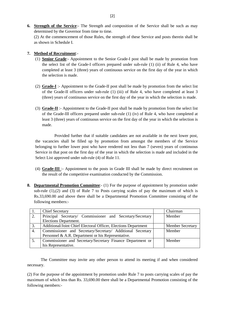**6. Strength of the Service**:- The Strength and composition of the Service shall be such as may determined by the Governor from time to time.

(2) At the commencement of those Rules, the strength of these Service and posts therein shall be as shown in Schedule I.

#### **7. Method of Recruitment**:-

- (1) **Senior Grade**:- Appointment to the Senior Grade-I post shall be made by promotion from the select list of the Grade-I officers prepared under sub-rule (1) (ii) of Rule 4, who have completed at least 3 (three) years of continuous service on the first day of the year in which the selection is made.
- (2) **Grade-I** :- Appointment to the Grade-II post shall be made by promotion from the select list of the Grade-II officers under sub-rule (1) (iii) of Rule 4, who have completed at least 3 (three) years of continuous service on the first day of the year in which the selection is made.
- (3) **Grade-II** :- Appointment to the Grade-II post shall be made by promotion from the select list of the Grade-III officers prepared under sub-rule (1) (iv) of Rule 4, who have completed at least 3 (three) years of continuous service on the first day of the year in which the selection is made.

Provided further that if suitable candidates are not available in the next lower post, the vacancies shall be filled up by promotion from amongst the members of the Service belonging to further lower post who have rendered not less than 7 (seven) years of continuous Service in that post on the first day of the year in which the selection is made and included in the Select List approved under sub-rule (4) of Rule 11.

- (4) **Grade-III** :- Appointment to the posts in Grade III shall be made by direct recruitment on the result of the competitive examination conducted by the Commission.
- **8. Departmental Promotion Committee:** (1) For the purpose of appointment by promotion under sub-rule  $(1),(2)$  and  $(3)$  of Rule 7 to Posts carrying scales of pay the maximum of which is Rs.33,690.00 and above there shall be a Departmental Promotion Committee consisting of the following members:-

|    | <b>Chief Secretary</b>                                         | Chairman                |
|----|----------------------------------------------------------------|-------------------------|
| 2. | Principal Secretary/ Commissioner and Secretary/Secretary      | Member                  |
|    | Elections Department.                                          |                         |
| 3. | Additional/Joint Chief Electoral Officer, Elections Department | <b>Member Secretary</b> |
| 4. | Commissioner and Secretary/Secretary/ Additional Secretary     | Member                  |
|    | Personnel & A.R. Department or his Representative.             |                         |
| 5. | Commissioner and Secretary/Secretary Finance Department or     | Member                  |
|    | his Representative.                                            |                         |

The Committee may invite any other person to attend its meeting if and when considered necessary.

(2) For the purpose of the appointment by promotion under Rule 7 to posts carrying scales of pay the maximum of which less than Rs. 33,690.00 there shall be a Departmental Promotion consisting of the following members:-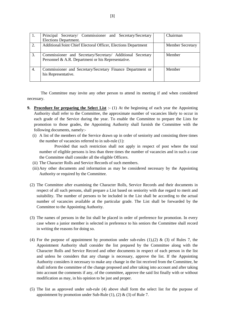|    | Principal Secretary/ Commissioner and Secretary/Secretary<br>Elections Department.                               | Chairman                |  |  |
|----|------------------------------------------------------------------------------------------------------------------|-------------------------|--|--|
| 2. | Additional/Joint Chief Electoral Officer, Elections Department                                                   | <b>Member Secretary</b> |  |  |
| 3. | Commissioner and Secretary/Secretary/ Additional Secretary<br>Personnel & A.R. Department or his Representative. | Member                  |  |  |
| 4. | Commissioner and Secretary/Secretary Finance Department or<br>his Representative.                                | Member                  |  |  |

The Committee may invite any other person to attend its meeting if and when considered necessary.

- **9. Procedure for preparing the Select List** :- (1) At the beginning of each year the Appointing Authority shall refer to the Committee, the approximate number of vacancies likely to occur in each grade of the Service during the year. To enable the Committee to prepare the Lists for promotion to those grades, the Appointing Authority shall furnish the Committee with the following documents, namely:-
	- (i) A list of the members of the Service drawn up in order of seniority and consisting three times the number of vacancies referred to in sub-rule (1):

Provided that such restriction shall not apply in respect of post where the total number of eligible persons is less than three times the number of vacancies and in such a case the Committee shall consider all the eligible Officers.

- (ii) The Character Rolls and Service Records of such members.
- (iii)Any other documents and information as may be considered necessary by the Appointing Authority or required by the Committee.
- (2) The Committee after examining the Character Rolls, Service Records and their documents in respect of all such persons, shall prepare a List based on seniority with due regard to merit and suitability. The number of persons to be included in the List shall be according to the actual number of vacancies available at the particular grade. The List shall be forwarded by the Committee to the Appointing Authority.
- (3) The names of persons in the list shall be placed in order of preference for promotion. In every case where a junior member is selected in preference to his seniors the Committee shall record in writing the reasons for doing so.
- (4) For the purpose of appointment by promotion under sub-rules  $(1),(2)$  &  $(3)$  of Rules 7, the Appointment Authority shall consider the list prepared by the Committee along with the Character Rolls and Service Record and other documents in respect of each person in the list and unless he considers that any change is necessary, approve the list. If the Appointing Authority considers it necessary to make any change in the list received from the Committee, he shall inform the committee of the change proposed and after taking into account and after taking into account the comments if any, of the committee, approve the said list finally with or without modification as may, in his opinion to be just and proper.
- (5) The list as approved under sub-rule (4) above shall form the select list for the purpose of appointment by promotion under Sub-Rule  $(1)$ ,  $(2)$  &  $(3)$  of Rule 7.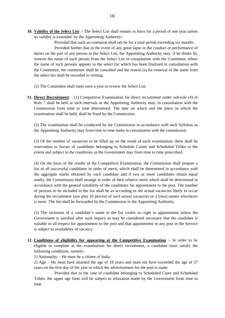**10. Validity of the Select List** :- The Select List shall remain in force for a period of one year unless its validity is extended by the Appointing Authority:-

Provided that such an extension shall not be for a total period exceeding six months.

Provided further that in the event of any great lapse in the conduct or performance of duties on the part of any person in the Select List, the Appointing Authority may, if he thinks fit, remove the name of such person from the Select List in consultation with the Committee where the name of such persons appears in the select list which has been finalized in consultation with the Committee, the committee shall be consulted and the reason (s) for removal of the name from the select list shall be recorded in writing.

(2) The Committee shall meet once a year to review the Select List.

**11. Direct Recruitment**: - (1) Competitive Examination for direct recruitment under sub-rule (4) of Rule 7 shall be held at such intervals as the Appointing Authority may, in consultation with the Commission from time to time determined. The date on which and the place in which the examination shall be held, shall be fixed by the Commission.

(2) The examination shall be conducted by the Commission in accordance with such Syllabus as the Appointing Authority may from time to time make in consultation with the commission.

(3) Of the number of vacancies to be filled up on the result of each examination, there shall be reservation in favour of candidates belonging to Schedule Castes and Scheduled Tribes to the extent and subject to the conditions as the Government may from time to time prescribed.

(4) On the basis of the results of the Competitive Examination, the Commission shall prepare a list of all successful candidates in order of merit, which shall be determined in accordance with the aggregate marks obtained by each candidate and if two or more candidates obtain equal marks, the Commission shall arrange in order of their relative merit which shall be determined in accordance with the general suitability of the candidates for appointment to the post. The number of persons to be included in the list shall be as according to the actual vacancies likely to occur during the recruitment year plus 10 percent of such actual vacancies or 2 (two) names whichever is more. The list shall be forwarded by the Commission to the Appointing Authority.

(5) The inclusion of a candidate's name in the list confer no right to appointment unless the Government is satisfied after such inquiry as may be considered necessary that the candidate is suitable in all respect for appointment to the post and that appointment to any post in the Service is subject to availability of vacancy.

**12. Conditions of eligibility for appearing at the Competitive Examination** :- In order to be eligible to complete at the examination for direct recruitment, a candidate must satisfy the following conditions, namely:-

1) Nationality: - He must be a citizen of India.

2) Age: - He must have attained the age of 18 years and must not have exceeded the age of 27 years on the first day of the year in which the advertisement for the post is made.

Provided that in the case of candidate belonging to Scheduled Caste and Scheduled Tribes, the upper age limit will be subject to relaxation made by the Government from time to time.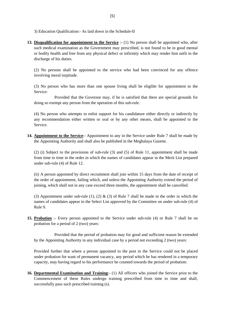3) Education Qualification:- As laid down in the Schedule-II

**13. Disqualification for appointment to the Service** :- (1) No person shall be appointed who, after such medical examination as the Government may prescribed, is not found to be in good mental or bodily health and free from any physical defect or infirmity which may render him unfit in the discharge of his duties.

(2) No persons shall be appointed to the service who had been convinced for any offence involving moral turpitude.

(3) No person who has more than one spouse living shall be eligible for appointment to the Service:

Provided that the Governor may, if he is satisfied that there are special grounds for doing so exempt any person from the operation of this sub-rule.

(4) No person who attempts to enlist support for his candidature either directly or indirectly by any recommendation either written or oral or by any other means, shall be appointed to the Service.

**14. Appointment to the Service**:- Appointment to any in the Service under Rule 7 shall be made by the Appointing Authority and shall also be published in the Meghalaya Gazette.

(2) (i) Subject to the provisions of sub-rule (3) and (5) of Rule 11, appointment shall be made from time to time in the order in which the names of candidates appear in the Merit List prepared under sub-rule (4) of Rule 12.

(ii) A person appointed by direct recruitment shall join within 15 days from the date of receipt of the order of appointment, failing which, and unless the Appointing Authority extend the period of joining, which shall not in any case exceed three months, the appointment shall be cancelled.

(3) Appointment under sub-rule (1), (2)  $\&$  (3) of Rule 7 shall be made in the order in which the names of candidates appear in the Select List approved by the Committee on under sub-rule (4) of Rule 9.

**15. Probation** :- Every person appointed to the Service under sub-rule (4) or Rule 7 shall be on probation for a period of 2 (two) years:

Provided that the period of probation may for good and sufficient reason be extended by the Appointing Authority in any individual case by a period not exceeding 2 (two) years:

Provided further that where a person appointed to the post in the Service could not be placed under probation for want of permanent vacancy, any period which he has rendered in a temporary capacity, may having regard to his performance be counted towards the period of probation:

**16. Departmental Examination and Training**:- (1) All officers who joined the Service prior to the Commencement of these Rules undergo training prescribed from time to time and shall, successfully pass such prescribed training (s).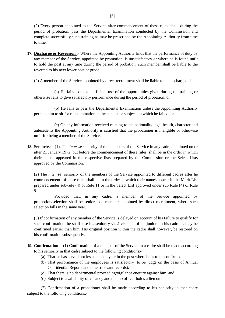(2) Every person appointed to the Service after commencement of these rules shall, during the period of probation; pass the Departmental Examination conducted by the Commission and complete successfully such training as may be prescribed by the Appointing Authority from time to time.

- **17. Discharge or Reversion** :- Where the Appointing Authority finds that the performance of duty by any member of the Service, appointed by promotion, is unsatisfactory or where he is found unfit to hold the post at any time during the period of probation, such member shall be liable to the reverted to his next lower post or grade.
	- (2) A member of the Service appointed by direct recruitment shall be liable to be discharged if

(a) He fails to make sufficient use of the opportunities given during the training or otherwise fails to give satisfactory performance during the period of probation; or

(b) He fails to pass the Departmental Examination unless the Appointing Authority permits him to sit for re-examination in the subject or subjects in which he failed; or

(c) On any information received relating to his nationality, age, health, character and antecedents the Appointing Authority is satisfied that the probationer is ineligible or otherwise unfit for being a member of the Service.

**18. Seniority**: - (1). The *inter se* seniority of the members of the Service in any cadre appointed on or after 21 January 1972, but before the commencement of these rules, shall be in the order in which their names appeared in the respective lists prepared by the Commission or the Select Lists approved by the Commission.

(2) The *inter se* seniority of the members of the Service appointed to different cadres after he commencement of these rules shall he in the order in which their names appear in the Merit List prepared under sub-rule (4) of Rule 11 or in the Select List approved under sub Rule (4) of Rule 9.

Provided that, in any cadre, a member of the Service appointed by promotion/selection shall be senior to a member appointed by direct recruitment, where such selection falls in the same year.

(3) If confirmation of any member of the Service is delayed on account of his failure to qualify for such confirmation: he shall lose his seniority vis-à-vis such of his juniors in his cadre as may be confirmed earlier than him. His original position within the cadre shall however, be restored on his confirmation subsequently.

- **19. Confirmation** :- (1) Confirmation of a member of the Service in a cadre shall be made according to his seniority in that cadre subject to the following conditions:-
	- (a) That he has served not less than one year in the post where he is to be confirmed.
	- (b) That performance of the employees is satisfactory (to be judge on the basis of Annual Confidential Reports and other relevant records).
	- (c) That there is no departmental proceeding/vigilance enquiry against him, and,
	- (d) Subject to availability of vacancy and that no officer holds a lien on it.

(2) Confirmation of a probationer shall be made according to his seniority in that cadre subject to the following conditions:-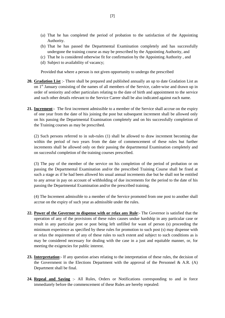- (a) That he has completed the period of probation to the satisfaction of the Appointing Authority.
- (b) That he has passed the Departmental Examination completely and has successfully undergone the training course as may be prescribed by the Appointing Authority, and
- (c) That he is considered otherwise fit for confirmation by the Appointing Authority , and
- (d) Subject to availability of vacancy;

Provided that where a person is not given opportunity to undergo the prescribed

- **20. Gradation List** :- There shall be prepared and published annually an up to date Gradation List as on 1<sup>st</sup> January consisting of the names of all members of the Service, cadre-wise and drawn up in order of seniority and other particulars relating to the date of birth and appointment to the service and such other details relevant to the Service Career shall be also indicated against each name.
- **21. Increment**:- The first increment admissible to a member of the Service shall accrue on the expiry of one year from the date of his joining the post but subsequent increment shall be allowed only on his passing the Departmental Examination completely and on his successfully completion of the Training courses as may be prescribed.

(2) Such persons referred to in sub-rules (1) shall be allowed to draw increment becoming due within the period of two years from the date of commencement of these rules but further increments shall be allowed only on their passing the departmental Examination completely and on successful completion of the training courses prescribed.

(3) The pay of the member of the service on his completion of the period of probation or on passing the Departmental Examination and/or the prescribed Training Course shall be fixed at such a stage as if he had been allowed his usual annual increments due but he shall not be entitled to any arrear in pay on account of withholding of due increments for the period to the date of his passing the Departmental Examination and/or the prescribed training.

(4) The Increment admissible to a member of the Service promoted from one post to another shall accrue on the expiry of such year as admissible under the rules.

- **22. Power of the Governor to dispense with or relax any Rule**:- The Governor is satisfied that the operation of any of the provisions of these rules causes undue hardship in any particular case or result in any particular post or post being left unfilled for want of person (s) proceeding the minimum experience as specified by these rules for promotion to such post (s) may dispense with or relax the requirement of any of these rules to such extent and subject to such conditions as is may be considered necessary for dealing with the case in a just and equitable manner, or, for meeting the exigencies for public interest.
- **23. Interpretation**:- If any question arises relating to the interpretation of these rules, the decision of the Government in the Elections Department with the approval of the Personnel & A.R. (A) Department shall be final.
- **24. Repeal and Saving** :- All Rules, Orders or Notifications corresponding to and in force immediately before the commencement of these Rules are hereby repealed: